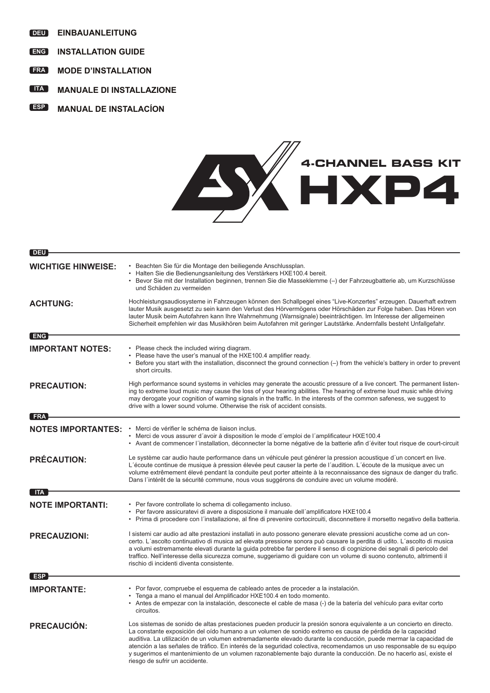- **DEU EINBAUANLEITUNG**
- **ENG INSTALLATION GUIDE**
- **FRA MODE D'INSTALLATION**
- **ITA MANUALE DI INSTALLAZIONE**
- **ESP MANUAL DE INSTALACÍON**



| DEU                       |                                                                                                                                                                                                                                                                                                                                                                                                                                                                                                                                                                                                                                           |
|---------------------------|-------------------------------------------------------------------------------------------------------------------------------------------------------------------------------------------------------------------------------------------------------------------------------------------------------------------------------------------------------------------------------------------------------------------------------------------------------------------------------------------------------------------------------------------------------------------------------------------------------------------------------------------|
| <b>WICHTIGE HINWEISE:</b> | · Beachten Sie für die Montage den beiliegende Anschlussplan.<br>· Halten Sie die Bedienungsanleitung des Verstärkers HXE100.4 bereit.<br>· Bevor Sie mit der Installation beginnen, trennen Sie die Masseklemme (-) der Fahrzeugbatterie ab, um Kurzschlüsse<br>und Schäden zu vermeiden                                                                                                                                                                                                                                                                                                                                                 |
| <b>ACHTUNG:</b>           | Hochleistungsaudiosysteme in Fahrzeugen können den Schallpegel eines "Live-Konzertes" erzeugen. Dauerhaft extrem<br>lauter Musik ausgesetzt zu sein kann den Verlust des Hörvermögens oder Hörschäden zur Folge haben. Das Hören von<br>lauter Musik beim Autofahren kann Ihre Wahrnehmung (Warnsignale) beeinträchtigen. Im Interesse der allgemeinen<br>Sicherheit empfehlen wir das Musikhören beim Autofahren mit geringer Lautstärke. Andernfalls besteht Unfallgefahr.                                                                                                                                                              |
| <b>ENG</b>                |                                                                                                                                                                                                                                                                                                                                                                                                                                                                                                                                                                                                                                           |
| <b>IMPORTANT NOTES:</b>   | • Please check the included wiring diagram.<br>• Please have the user's manual of the HXE100.4 amplifier ready.<br>• Before you start with the installation, disconnect the ground connection (-) from the vehicle's battery in order to prevent<br>short circuits.                                                                                                                                                                                                                                                                                                                                                                       |
| <b>PRECAUTION:</b>        | High performance sound systems in vehicles may generate the acoustic pressure of a live concert. The permanent listen-<br>ing to extreme loud music may cause the loss of your hearing abilities. The hearing of extreme loud music while driving<br>may derogate your cognition of warning signals in the traffic. In the interests of the common safeness, we suggest to<br>drive with a lower sound volume. Otherwise the risk of accident consists.                                                                                                                                                                                   |
| <b>FRA</b>                |                                                                                                                                                                                                                                                                                                                                                                                                                                                                                                                                                                                                                                           |
| <b>NOTES IMPORTANTES:</b> | · Merci de vérifier le schéma de liaison inclus.<br>• Merci de vous assurer d'avoir à disposition le mode d'emploi de l'amplificateur HXE100.4<br>· Avant de commencer l'installation, déconnecter la borne négative de la batterie afin d'éviter tout risque de court-circuit                                                                                                                                                                                                                                                                                                                                                            |
| <b>PRÉCAUTION:</b>        | Le système car audio haute performance dans un véhicule peut générer la pression acoustique d'un concert en live.<br>L'écoute continue de musique à pression élevée peut causer la perte de l'audition. L'écoute de la musique avec un<br>volume extrêmement élevé pendant la conduite peut porter atteinte à la reconnaissance des signaux de danger du trafic.<br>Dans l'intérêt de la sécurité commune, nous vous suggérons de conduire avec un volume modéré.                                                                                                                                                                         |
| <b>ITA</b>                |                                                                                                                                                                                                                                                                                                                                                                                                                                                                                                                                                                                                                                           |
| <b>NOTE IMPORTANTI:</b>   | • Per favore controllate lo schema di collegamento incluso.<br>• Per favore assicuratevi di avere a disposizione il manuale dell'amplificatore HXE100.4<br>• Prima di procedere con l'installazione, al fine di prevenire cortocircuiti, disconnettere il morsetto negativo della batteria.                                                                                                                                                                                                                                                                                                                                               |
| <b>PRECAUZIONI:</b>       | I sistemi car audio ad alte prestazioni installati in auto possono generare elevate pressioni acustiche come ad un con-<br>certo. L'ascolto continuativo di musica ad elevata pressione sonora può causare la perdita di udito. L'ascolto di musica<br>a volumi estremamente elevati durante la guida potrebbe far perdere il senso di cognizione dei segnali di pericolo del<br>traffico. Nell'interesse della sicurezza comune, suggeriamo di guidare con un volume di suono contenuto, altrimenti il<br>rischio di incidenti diventa consistente.                                                                                      |
| ESP                       |                                                                                                                                                                                                                                                                                                                                                                                                                                                                                                                                                                                                                                           |
| <b>IMPORTANTE:</b>        | • Por favor, compruebe el esquema de cableado antes de proceder a la instalación.<br>· Tenga a mano el manual del Amplificador HXE100.4 en todo momento.<br>· Antes de empezar con la instalación, desconecte el cable de masa (-) de la batería del vehículo para evitar corto<br>circuitos.                                                                                                                                                                                                                                                                                                                                             |
| <b>PRECAUCIÓN:</b>        | Los sistemas de sonido de altas prestaciones pueden producir la presión sonora equivalente a un concierto en directo.<br>La constante exposición del oído humano a un volumen de sonido extremo es causa de pérdida de la capacidad<br>auditiva. La utilización de un volumen extremadamente elevado durante la conducción, puede mermar la capacidad de<br>atención a las señales de tráfico. En interés de la seguridad colectiva, recomendamos un uso responsable de su equipo<br>y sugerimos el mantenimiento de un volumen razonablemente bajo durante la conducción. De no hacerlo así, existe el<br>riesgo de sufrir un accidente. |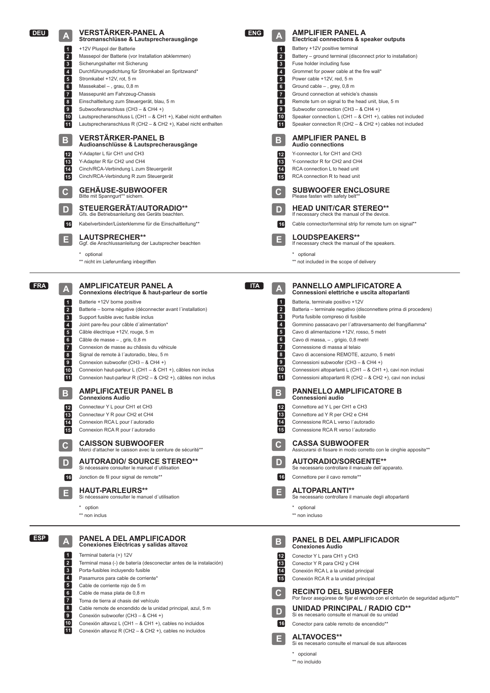

**ALTAVOCES\*\*** Si es necesario consulte el manual de sus altavoces

\* opcional

**E**

\*\* no incluido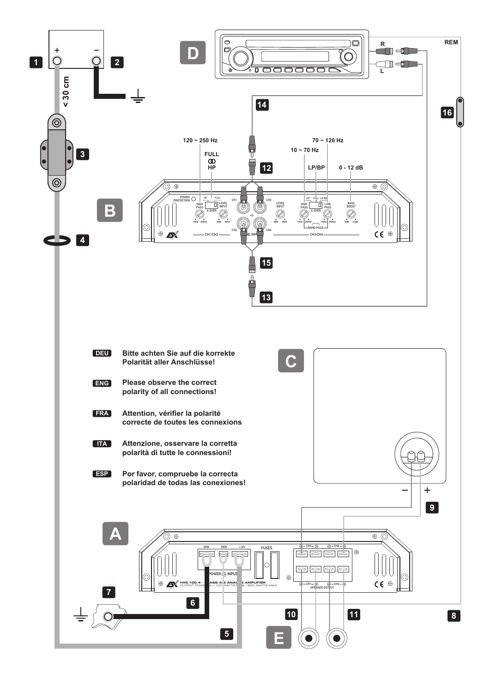